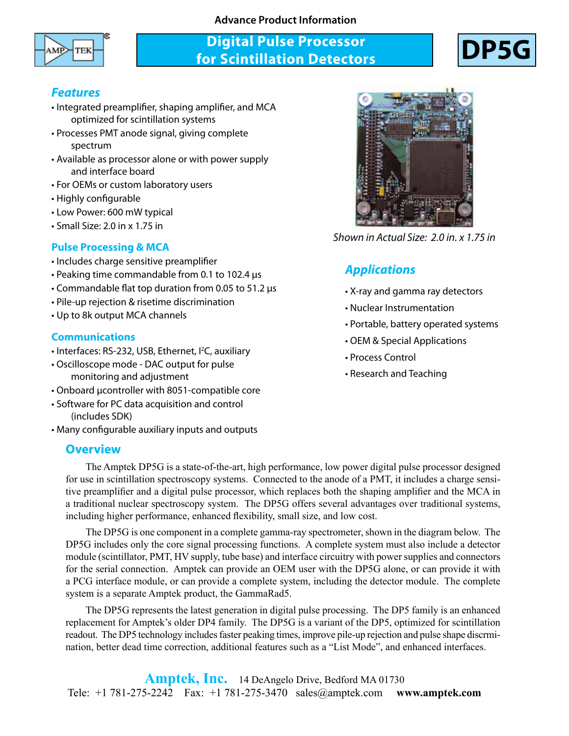### **Advance Product Information**



## **Digital Pulse Processor for Scintillation Detectors**



### *Features*

- Integrated preamplifier, shaping amplifier, and MCA optimized for scintillation systems
- Processes PMT anode signal, giving complete spectrum
- Available as processor alone or with power supply and interface board
- For OEMs or custom laboratory users
- Highly configurable
- Low Power: 600 mW typical
- Small Size: 2.0 in x 1.75 in

### **Pulse Processing & MCA**

- Includes charge sensitive preamplifier
- Peaking time commandable from 0.1 to 102.4 µs
- Commandable flat top duration from 0.05 to 51.2 µs
- Pile-up rejection & risetime discrimination
- Up to 8k output MCA channels

### **Communications**

- Interfaces: RS-232, USB, Ethernet, I<sup>2</sup>C, auxiliary
- Oscilloscope mode DAC output for pulse monitoring and adjustment
- Onboard µcontroller with 8051-compatible core
- Software for PC data acquisition and control (includes SDK)
- Many configurable auxiliary inputs and outputs

### **Overview**



*Shown in Actual Size: 2.0 in. x 1.75 in*

## *Applications*

- X-ray and gamma ray detectors
- Nuclear Instrumentation
- Portable, battery operated systems
- OEM & Special Applications
- Process Control
- Research and Teaching

The Amptek DP5G is a state-of-the-art, high performance, low power digital pulse processor designed for use in scintillation spectroscopy systems. Connected to the anode of a PMT, it includes a charge sensitive preamplifier and a digital pulse processor, which replaces both the shaping amplifier and the MCA in a traditional nuclear spectroscopy system. The DP5G offers several advantages over traditional systems, including higher performance, enhanced flexibility, small size, and low cost.

The DP5G is one component in a complete gamma-ray spectrometer, shown in the diagram below. The DP5G includes only the core signal processing functions. A complete system must also include a detector module (scintillator, PMT, HV supply, tube base) and interface circuitry with power supplies and connectors for the serial connection. Amptek can provide an OEM user with the DP5G alone, or can provide it with a PCG interface module, or can provide a complete system, including the detector module. The complete system is a separate Amptek product, the GammaRad5.

The DP5G represents the latest generation in digital pulse processing. The DP5 family is an enhanced replacement for Amptek's older DP4 family. The DP5G is a variant of the DP5, optimized for scintillation readout. The DP5 technology includes faster peaking times, improve pile-up rejection and pulse shape discrmination, better dead time correction, additional features such as a "List Mode", and enhanced interfaces.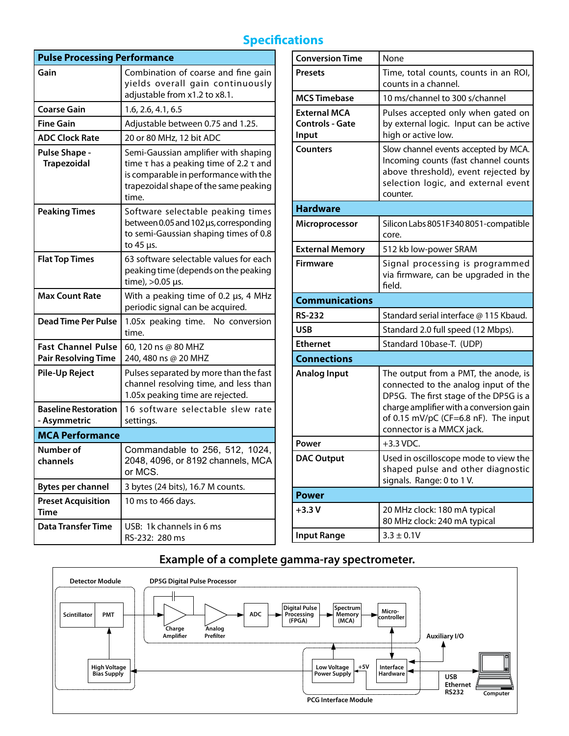# **Specifications**

| <b>Pulse Processing Performance</b>                     |                                                                                                                                                                                     |
|---------------------------------------------------------|-------------------------------------------------------------------------------------------------------------------------------------------------------------------------------------|
| Gain                                                    | Combination of coarse and fine gain<br>yields overall gain continuously<br>adjustable from x1.2 to x8.1.                                                                            |
| <b>Coarse Gain</b>                                      | 1.6, 2.6, 4.1, 6.5                                                                                                                                                                  |
| <b>Fine Gain</b>                                        | Adjustable between 0.75 and 1.25.                                                                                                                                                   |
| <b>ADC Clock Rate</b>                                   | 20 or 80 MHz, 12 bit ADC                                                                                                                                                            |
| <b>Pulse Shape -</b><br><b>Trapezoidal</b>              | Semi-Gaussian amplifier with shaping<br>time $\tau$ has a peaking time of 2.2 $\tau$ and<br>is comparable in performance with the<br>trapezoidal shape of the same peaking<br>time. |
| <b>Peaking Times</b>                                    | Software selectable peaking times<br>between 0.05 and 102 us, corresponding<br>to semi-Gaussian shaping times of 0.8<br>to 45 µs.                                                   |
| <b>Flat Top Times</b>                                   | 63 software selectable values for each<br>peaking time (depends on the peaking<br>time), >0.05 µs.                                                                                  |
| <b>Max Count Rate</b>                                   | With a peaking time of 0.2 µs, 4 MHz<br>periodic signal can be acquired.                                                                                                            |
| Dead Time Per Pulse                                     | 1.05x peaking time. No conversion<br>time.                                                                                                                                          |
| <b>Fast Channel Pulse</b><br><b>Pair Resolving Time</b> | 60, 120 ns @ 80 MHZ<br>240, 480 ns @ 20 MHZ                                                                                                                                         |
| <b>Pile-Up Reject</b>                                   | Pulses separated by more than the fast<br>channel resolving time, and less than<br>1.05x peaking time are rejected.                                                                 |
| <b>Baseline Restoration</b><br>- Asymmetric             | 16 software selectable slew rate<br>settings.                                                                                                                                       |
| <b>MCA Performance</b>                                  |                                                                                                                                                                                     |
| Number of<br>channels                                   | Commandable to 256, 512, 1024,<br>2048, 4096, or 8192 channels, MCA<br>or MCS.                                                                                                      |
| <b>Bytes per channel</b>                                | 3 bytes (24 bits), 16.7 M counts.                                                                                                                                                   |
| <b>Preset Acquisition</b><br>Time                       | 10 ms to 466 days.                                                                                                                                                                  |
| <b>Data Transfer Time</b>                               | USB: 1k channels in 6 ms<br>RS-232: 280 ms                                                                                                                                          |

| <b>Conversion Time</b>                                 | None                                                                                                                                                                                                                                   |  |
|--------------------------------------------------------|----------------------------------------------------------------------------------------------------------------------------------------------------------------------------------------------------------------------------------------|--|
| <b>Presets</b>                                         | Time, total counts, counts in an ROI,<br>counts in a channel.                                                                                                                                                                          |  |
| <b>MCS Timebase</b>                                    | 10 ms/channel to 300 s/channel                                                                                                                                                                                                         |  |
| <b>External MCA</b><br><b>Controls - Gate</b><br>Input | Pulses accepted only when gated on<br>by external logic. Input can be active<br>high or active low.                                                                                                                                    |  |
| <b>Counters</b>                                        | Slow channel events accepted by MCA.<br>Incoming counts (fast channel counts<br>above threshold), event rejected by<br>selection logic, and external event<br>counter.                                                                 |  |
| <b>Hardware</b>                                        |                                                                                                                                                                                                                                        |  |
| <b>Microprocessor</b>                                  | Silicon Labs 8051F340 8051-compatible<br>core.                                                                                                                                                                                         |  |
| <b>External Memory</b>                                 | 512 kb low-power SRAM                                                                                                                                                                                                                  |  |
| <b>Firmware</b>                                        | Signal processing is programmed<br>via firmware, can be upgraded in the<br>field.                                                                                                                                                      |  |
| <b>Communications</b>                                  |                                                                                                                                                                                                                                        |  |
| <b>RS-232</b>                                          | Standard serial interface @ 115 Kbaud.                                                                                                                                                                                                 |  |
| <b>USB</b>                                             | Standard 2.0 full speed (12 Mbps).                                                                                                                                                                                                     |  |
| <b>Ethernet</b>                                        | Standard 10base-T. (UDP)                                                                                                                                                                                                               |  |
| <b>Connections</b>                                     |                                                                                                                                                                                                                                        |  |
| <b>Analog Input</b>                                    | The output from a PMT, the anode, is<br>connected to the analog input of the<br>DP5G. The first stage of the DP5G is a<br>charge amplifier with a conversion gain<br>of 0.15 mV/pC (CF=6.8 nF). The input<br>connector is a MMCX jack. |  |
| Power                                                  | $+3.3$ VDC.                                                                                                                                                                                                                            |  |
| <b>DAC Output</b>                                      | Used in oscilloscope mode to view the<br>shaped pulse and other diagnostic<br>signals. Range: 0 to 1 V.                                                                                                                                |  |
| <b>Power</b>                                           |                                                                                                                                                                                                                                        |  |
| $+3.3V$                                                | 20 MHz clock: 180 mA typical<br>80 MHz clock: 240 mA typical                                                                                                                                                                           |  |
| <b>Input Range</b>                                     | $3.3 \pm 0.1$ V                                                                                                                                                                                                                        |  |

## **Example of a complete gamma-ray spectrometer.**

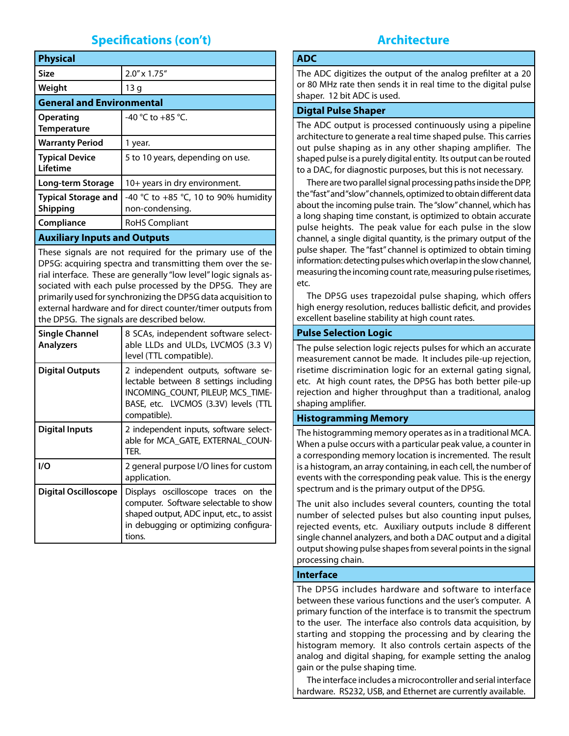## **Specifications (con't)**

| <b>Physical</b>                               |                                                         |  |
|-----------------------------------------------|---------------------------------------------------------|--|
| <b>Size</b>                                   | $2.0'' \times 1.75''$                                   |  |
| Weight                                        | 13 <sub>g</sub>                                         |  |
| <b>General and Environmental</b>              |                                                         |  |
| <b>Operating</b><br>Temperature               | -40 °C to +85 °C.                                       |  |
| <b>Warranty Period</b>                        | 1 year.                                                 |  |
| <b>Typical Device</b><br>Lifetime             | 5 to 10 years, depending on use.                        |  |
| Long-term Storage                             | 10+ years in dry environment.                           |  |
| <b>Typical Storage and</b><br><b>Shipping</b> | -40 °C to +85 °C, 10 to 90% humidity<br>non-condensing. |  |
| Compliance                                    | RoHS Compliant                                          |  |

#### **Auxiliary Inputs and Outputs**

These signals are not required for the primary use of the DP5G: acquiring spectra and transmitting them over the serial interface. These are generally "low level" logic signals associated with each pulse processed by the DP5G. They are primarily used for synchronizing the DP5G data acquisition to external hardware and for direct counter/timer outputs from the DP5G. The signals are described below.

| Single Channel<br><b>Analyzers</b> | 8 SCAs, independent software select-<br>able LLDs and ULDs, LVCMOS (3.3 V)<br>level (TTL compatible).                                                                        |
|------------------------------------|------------------------------------------------------------------------------------------------------------------------------------------------------------------------------|
| <b>Digital Outputs</b>             | 2 independent outputs, software se-<br>lectable between 8 settings including<br>INCOMING COUNT, PILEUP, MCS TIME-<br>BASE, etc. LVCMOS (3.3V) levels (TTL<br>compatible).    |
| <b>Digital Inputs</b>              | 2 independent inputs, software select-<br>able for MCA GATE, EXTERNAL COUN-<br>TER.                                                                                          |
| I/O                                | 2 general purpose I/O lines for custom<br>application.                                                                                                                       |
| <b>Digital Oscilloscope</b>        | Displays oscilloscope traces on the<br>computer. Software selectable to show<br>shaped output, ADC input, etc., to assist<br>in debugging or optimizing configura-<br>tions. |

### **Architecture**

#### **ADC**

The ADC digitizes the output of the analog prefilter at a 20 or 80 MHz rate then sends it in real time to the digital pulse shaper. 12 bit ADC is used.

#### **Digtal Pulse Shaper**

The ADC output is processed continuously using a pipeline architecture to generate a real time shaped pulse. This carries out pulse shaping as in any other shaping amplifier. The shaped pulse is a purely digital entity. Its output can be routed to a DAC, for diagnostic purposes, but this is not necessary.

There are two parallel signal processing paths inside the DPP, the "fast" and "slow" channels, optimized to obtain different data about the incoming pulse train. The "slow" channel, which has a long shaping time constant, is optimized to obtain accurate pulse heights. The peak value for each pulse in the slow channel, a single digital quantity, is the primary output of the pulse shaper. The "fast" channel is optimized to obtain timing information: detecting pulses which overlap in the slow channel, measuring the incoming count rate, measuring pulse risetimes, etc.

The DP5G uses trapezoidal pulse shaping, which offers high energy resolution, reduces ballistic deficit, and provides excellent baseline stability at high count rates.

#### **Pulse Selection Logic**

The pulse selection logic rejects pulses for which an accurate measurement cannot be made. It includes pile-up rejection, risetime discrimination logic for an external gating signal, etc. At high count rates, the DP5G has both better pile-up rejection and higher throughput than a traditional, analog shaping amplifier.

#### **Histogramming Memory**

The histogramming memory operates as in a traditional MCA. When a pulse occurs with a particular peak value, a counter in a corresponding memory location is incremented. The result is a histogram, an array containing, in each cell, the number of events with the corresponding peak value. This is the energy spectrum and is the primary output of the DP5G.

The unit also includes several counters, counting the total number of selected pulses but also counting input pulses, rejected events, etc. Auxiliary outputs include 8 different single channel analyzers, and both a DAC output and a digital output showing pulse shapes from several points in the signal processing chain.

#### **Interface**

The DP5G includes hardware and software to interface between these various functions and the user's computer. A primary function of the interface is to transmit the spectrum to the user. The interface also controls data acquisition, by starting and stopping the processing and by clearing the histogram memory. It also controls certain aspects of the analog and digital shaping, for example setting the analog gain or the pulse shaping time.

The interface includes a microcontroller and serial interface hardware. RS232, USB, and Ethernet are currently available.